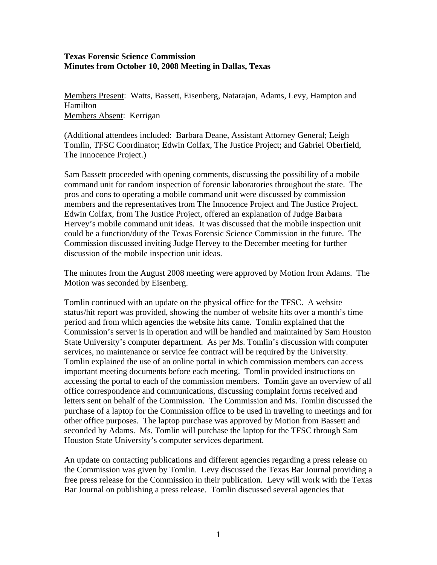## **Texas Forensic Science Commission Minutes from October 10, 2008 Meeting in Dallas, Texas**

Members Present: Watts, Bassett, Eisenberg, Natarajan, Adams, Levy, Hampton and Hamilton Members Absent: Kerrigan

(Additional attendees included: Barbara Deane, Assistant Attorney General; Leigh Tomlin, TFSC Coordinator; Edwin Colfax, The Justice Project; and Gabriel Oberfield, The Innocence Project.)

Sam Bassett proceeded with opening comments, discussing the possibility of a mobile command unit for random inspection of forensic laboratories throughout the state. The pros and cons to operating a mobile command unit were discussed by commission members and the representatives from The Innocence Project and The Justice Project. Edwin Colfax, from The Justice Project, offered an explanation of Judge Barbara Hervey's mobile command unit ideas. It was discussed that the mobile inspection unit could be a function/duty of the Texas Forensic Science Commission in the future. The Commission discussed inviting Judge Hervey to the December meeting for further discussion of the mobile inspection unit ideas.

The minutes from the August 2008 meeting were approved by Motion from Adams. The Motion was seconded by Eisenberg.

Tomlin continued with an update on the physical office for the TFSC. A website status/hit report was provided, showing the number of website hits over a month's time period and from which agencies the website hits came. Tomlin explained that the Commission's server is in operation and will be handled and maintained by Sam Houston State University's computer department. As per Ms. Tomlin's discussion with computer services, no maintenance or service fee contract will be required by the University. Tomlin explained the use of an online portal in which commission members can access important meeting documents before each meeting. Tomlin provided instructions on accessing the portal to each of the commission members. Tomlin gave an overview of all office correspondence and communications, discussing complaint forms received and letters sent on behalf of the Commission. The Commission and Ms. Tomlin discussed the purchase of a laptop for the Commission office to be used in traveling to meetings and for other office purposes. The laptop purchase was approved by Motion from Bassett and seconded by Adams. Ms. Tomlin will purchase the laptop for the TFSC through Sam Houston State University's computer services department.

An update on contacting publications and different agencies regarding a press release on the Commission was given by Tomlin. Levy discussed the Texas Bar Journal providing a free press release for the Commission in their publication. Levy will work with the Texas Bar Journal on publishing a press release. Tomlin discussed several agencies that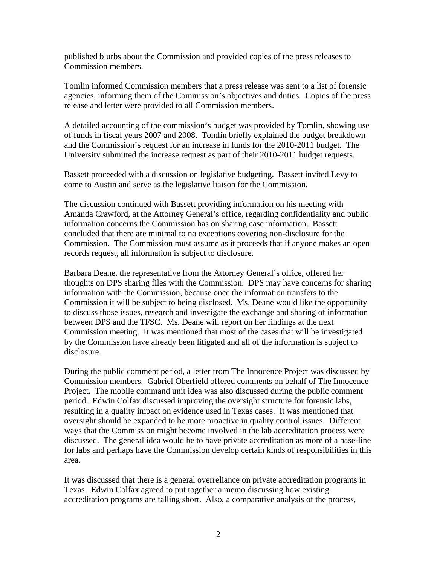published blurbs about the Commission and provided copies of the press releases to Commission members.

Tomlin informed Commission members that a press release was sent to a list of forensic agencies, informing them of the Commission's objectives and duties. Copies of the press release and letter were provided to all Commission members.

A detailed accounting of the commission's budget was provided by Tomlin, showing use of funds in fiscal years 2007 and 2008. Tomlin briefly explained the budget breakdown and the Commission's request for an increase in funds for the 2010-2011 budget. The University submitted the increase request as part of their 2010-2011 budget requests.

Bassett proceeded with a discussion on legislative budgeting. Bassett invited Levy to come to Austin and serve as the legislative liaison for the Commission.

The discussion continued with Bassett providing information on his meeting with Amanda Crawford, at the Attorney General's office, regarding confidentiality and public information concerns the Commission has on sharing case information. Bassett concluded that there are minimal to no exceptions covering non-disclosure for the Commission. The Commission must assume as it proceeds that if anyone makes an open records request, all information is subject to disclosure.

Barbara Deane, the representative from the Attorney General's office, offered her thoughts on DPS sharing files with the Commission. DPS may have concerns for sharing information with the Commission, because once the information transfers to the Commission it will be subject to being disclosed. Ms. Deane would like the opportunity to discuss those issues, research and investigate the exchange and sharing of information between DPS and the TFSC. Ms. Deane will report on her findings at the next Commission meeting. It was mentioned that most of the cases that will be investigated by the Commission have already been litigated and all of the information is subject to disclosure.

During the public comment period, a letter from The Innocence Project was discussed by Commission members. Gabriel Oberfield offered comments on behalf of The Innocence Project. The mobile command unit idea was also discussed during the public comment period. Edwin Colfax discussed improving the oversight structure for forensic labs, resulting in a quality impact on evidence used in Texas cases. It was mentioned that oversight should be expanded to be more proactive in quality control issues. Different ways that the Commission might become involved in the lab accreditation process were discussed. The general idea would be to have private accreditation as more of a base-line for labs and perhaps have the Commission develop certain kinds of responsibilities in this area.

It was discussed that there is a general overreliance on private accreditation programs in Texas. Edwin Colfax agreed to put together a memo discussing how existing accreditation programs are falling short. Also, a comparative analysis of the process,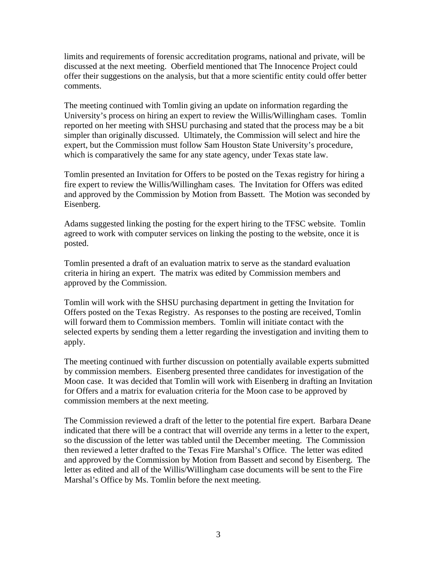limits and requirements of forensic accreditation programs, national and private, will be discussed at the next meeting. Oberfield mentioned that The Innocence Project could offer their suggestions on the analysis, but that a more scientific entity could offer better comments.

The meeting continued with Tomlin giving an update on information regarding the University's process on hiring an expert to review the Willis/Willingham cases. Tomlin reported on her meeting with SHSU purchasing and stated that the process may be a bit simpler than originally discussed. Ultimately, the Commission will select and hire the expert, but the Commission must follow Sam Houston State University's procedure, which is comparatively the same for any state agency, under Texas state law.

Tomlin presented an Invitation for Offers to be posted on the Texas registry for hiring a fire expert to review the Willis/Willingham cases. The Invitation for Offers was edited and approved by the Commission by Motion from Bassett. The Motion was seconded by Eisenberg.

Adams suggested linking the posting for the expert hiring to the TFSC website. Tomlin agreed to work with computer services on linking the posting to the website, once it is posted.

Tomlin presented a draft of an evaluation matrix to serve as the standard evaluation criteria in hiring an expert. The matrix was edited by Commission members and approved by the Commission.

Tomlin will work with the SHSU purchasing department in getting the Invitation for Offers posted on the Texas Registry. As responses to the posting are received, Tomlin will forward them to Commission members. Tomlin will initiate contact with the selected experts by sending them a letter regarding the investigation and inviting them to apply.

The meeting continued with further discussion on potentially available experts submitted by commission members. Eisenberg presented three candidates for investigation of the Moon case. It was decided that Tomlin will work with Eisenberg in drafting an Invitation for Offers and a matrix for evaluation criteria for the Moon case to be approved by commission members at the next meeting.

The Commission reviewed a draft of the letter to the potential fire expert. Barbara Deane indicated that there will be a contract that will override any terms in a letter to the expert, so the discussion of the letter was tabled until the December meeting. The Commission then reviewed a letter drafted to the Texas Fire Marshal's Office. The letter was edited and approved by the Commission by Motion from Bassett and second by Eisenberg. The letter as edited and all of the Willis/Willingham case documents will be sent to the Fire Marshal's Office by Ms. Tomlin before the next meeting.